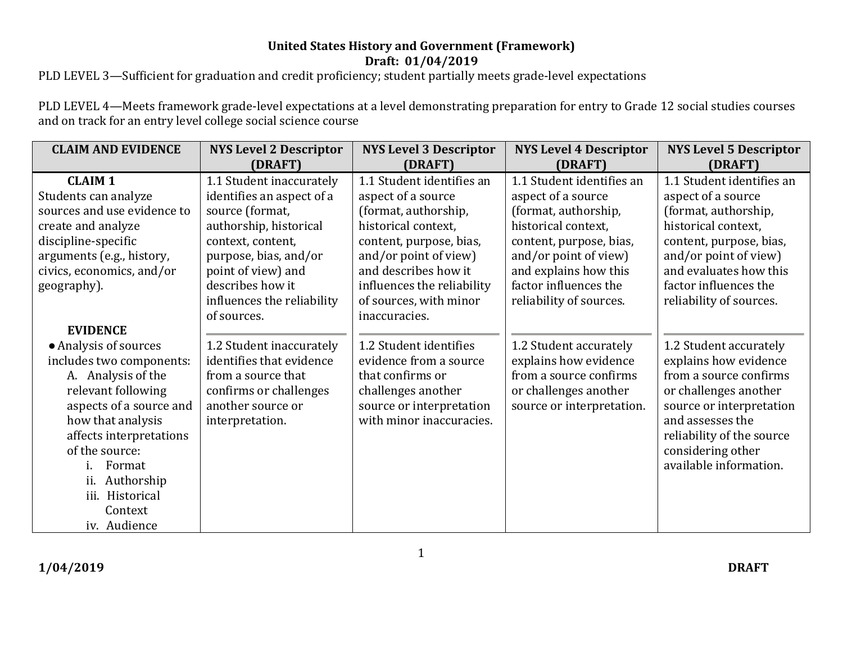## **Draft: 01/04/2019 United States History and Government (Framework)**

PLD LEVEL 3—Sufficient for graduation and credit proficiency; student partially meets grade-level expectations

PLD LEVEL 4—Meets framework grade-level expectations at a level demonstrating preparation for entry to Grade 12 social studies courses and on track for an entry level college social science course

| <b>CLAIM AND EVIDENCE</b>                                                                                                                                                                                                                                                                  | <b>NYS Level 2 Descriptor</b><br>(DRAFT)                                                                                                                                                                                                | <b>NYS Level 3 Descriptor</b><br>(DRAFT)                                                                                                                                                                                                            | <b>NYS Level 4 Descriptor</b><br>(DRAFT)                                                                                                                                                                                        | <b>NYS Level 5 Descriptor</b><br>(DRAFT)                                                                                                                                                                                         |
|--------------------------------------------------------------------------------------------------------------------------------------------------------------------------------------------------------------------------------------------------------------------------------------------|-----------------------------------------------------------------------------------------------------------------------------------------------------------------------------------------------------------------------------------------|-----------------------------------------------------------------------------------------------------------------------------------------------------------------------------------------------------------------------------------------------------|---------------------------------------------------------------------------------------------------------------------------------------------------------------------------------------------------------------------------------|----------------------------------------------------------------------------------------------------------------------------------------------------------------------------------------------------------------------------------|
| <b>CLAIM 1</b><br>Students can analyze<br>sources and use evidence to<br>create and analyze<br>discipline-specific<br>arguments (e.g., history,<br>civics, economics, and/or<br>geography).                                                                                                | 1.1 Student inaccurately<br>identifies an aspect of a<br>source (format,<br>authorship, historical<br>context, content,<br>purpose, bias, and/or<br>point of view) and<br>describes how it<br>influences the reliability<br>of sources. | 1.1 Student identifies an<br>aspect of a source<br>(format, authorship,<br>historical context,<br>content, purpose, bias,<br>and/or point of view)<br>and describes how it<br>influences the reliability<br>of sources, with minor<br>inaccuracies. | 1.1 Student identifies an<br>aspect of a source<br>(format, authorship,<br>historical context,<br>content, purpose, bias,<br>and/or point of view)<br>and explains how this<br>factor influences the<br>reliability of sources. | 1.1 Student identifies an<br>aspect of a source<br>(format, authorship,<br>historical context,<br>content, purpose, bias,<br>and/or point of view)<br>and evaluates how this<br>factor influences the<br>reliability of sources. |
| <b>EVIDENCE</b><br>• Analysis of sources<br>includes two components:<br>A. Analysis of the<br>relevant following<br>aspects of a source and<br>how that analysis<br>affects interpretations<br>of the source:<br>Format<br>Authorship<br>ii.<br>iii. Historical<br>Context<br>iv. Audience | 1.2 Student inaccurately<br>identifies that evidence<br>from a source that<br>confirms or challenges<br>another source or<br>interpretation.                                                                                            | 1.2 Student identifies<br>evidence from a source<br>that confirms or<br>challenges another<br>source or interpretation<br>with minor inaccuracies.                                                                                                  | 1.2 Student accurately<br>explains how evidence<br>from a source confirms<br>or challenges another<br>source or interpretation.                                                                                                 | 1.2 Student accurately<br>explains how evidence<br>from a source confirms<br>or challenges another<br>source or interpretation<br>and assesses the<br>reliability of the source<br>considering other<br>available information.   |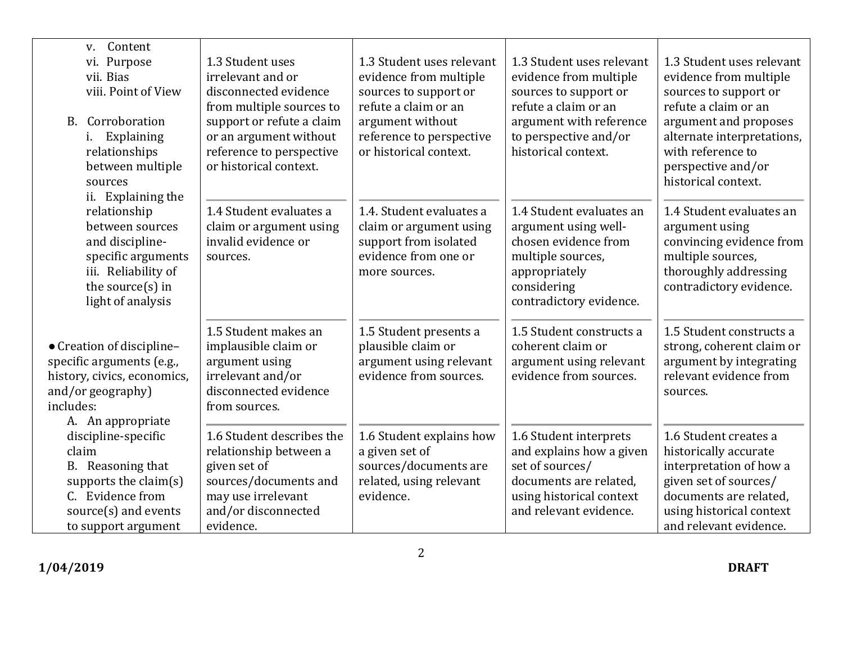| Content<br>V.<br>Purpose<br>vi.<br>vii. Bias<br>viii. Point of View<br>B. Corroboration<br>Explaining<br>i.<br>relationships<br>between multiple<br>sources<br>ii. Explaining the | 1.3 Student uses<br>irrelevant and or<br>disconnected evidence<br>from multiple sources to<br>support or refute a claim<br>or an argument without<br>reference to perspective<br>or historical context. | 1.3 Student uses relevant<br>evidence from multiple<br>sources to support or<br>refute a claim or an<br>argument without<br>reference to perspective<br>or historical context. | 1.3 Student uses relevant<br>evidence from multiple<br>sources to support or<br>refute a claim or an<br>argument with reference<br>to perspective and/or<br>historical context. | 1.3 Student uses relevant<br>evidence from multiple<br>sources to support or<br>refute a claim or an<br>argument and proposes<br>alternate interpretations,<br>with reference to<br>perspective and/or<br>historical context. |
|-----------------------------------------------------------------------------------------------------------------------------------------------------------------------------------|---------------------------------------------------------------------------------------------------------------------------------------------------------------------------------------------------------|--------------------------------------------------------------------------------------------------------------------------------------------------------------------------------|---------------------------------------------------------------------------------------------------------------------------------------------------------------------------------|-------------------------------------------------------------------------------------------------------------------------------------------------------------------------------------------------------------------------------|
| relationship<br>between sources<br>and discipline-<br>specific arguments<br>iii. Reliability of<br>the source $(s)$ in<br>light of analysis                                       | 1.4 Student evaluates a<br>claim or argument using<br>invalid evidence or<br>sources.                                                                                                                   | 1.4. Student evaluates a<br>claim or argument using<br>support from isolated<br>evidence from one or<br>more sources.                                                          | 1.4 Student evaluates an<br>argument using well-<br>chosen evidence from<br>multiple sources,<br>appropriately<br>considering<br>contradictory evidence.                        | 1.4 Student evaluates an<br>argument using<br>convincing evidence from<br>multiple sources,<br>thoroughly addressing<br>contradictory evidence.                                                                               |
| • Creation of discipline-<br>specific arguments (e.g.,<br>history, civics, economics,<br>and/or geography)<br>includes:<br>A. An appropriate                                      | 1.5 Student makes an<br>implausible claim or<br>argument using<br>irrelevant and/or<br>disconnected evidence<br>from sources.                                                                           | 1.5 Student presents a<br>plausible claim or<br>argument using relevant<br>evidence from sources.                                                                              | 1.5 Student constructs a<br>coherent claim or<br>argument using relevant<br>evidence from sources.                                                                              | 1.5 Student constructs a<br>strong, coherent claim or<br>argument by integrating<br>relevant evidence from<br>sources.                                                                                                        |
| discipline-specific<br>claim<br>B. Reasoning that<br>supports the claim $(s)$<br>C. Evidence from<br>source(s) and events<br>to support argument                                  | 1.6 Student describes the<br>relationship between a<br>given set of<br>sources/documents and<br>may use irrelevant<br>and/or disconnected<br>evidence.                                                  | 1.6 Student explains how<br>a given set of<br>sources/documents are<br>related, using relevant<br>evidence.                                                                    | 1.6 Student interprets<br>and explains how a given<br>set of sources/<br>documents are related,<br>using historical context<br>and relevant evidence.                           | 1.6 Student creates a<br>historically accurate<br>interpretation of how a<br>given set of sources/<br>documents are related,<br>using historical context<br>and relevant evidence.                                            |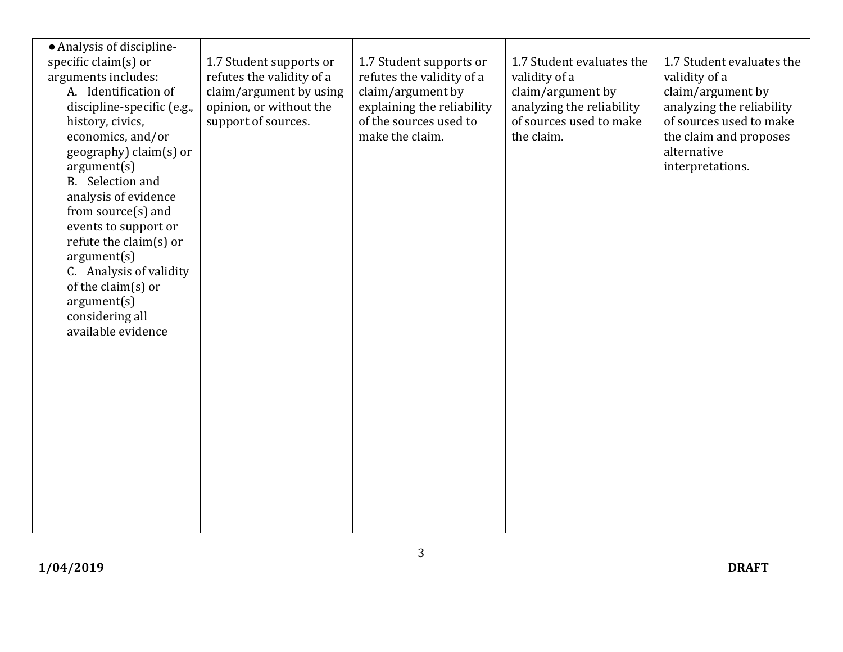| • Analysis of discipline-<br>specific claim(s) or<br>arguments includes:<br>A. Identification of<br>discipline-specific (e.g.,<br>history, civics,<br>economics, and/or<br>geography) claim(s) or<br>argument(s)<br>B. Selection and<br>analysis of evidence<br>from source(s) and<br>events to support or<br>refute the claim(s) or<br>argument(s)<br>C. Analysis of validity<br>of the claim(s) or<br>argument(s)<br>considering all<br>available evidence | 1.7 Student supports or<br>refutes the validity of a<br>claim/argument by using<br>opinion, or without the<br>support of sources. | 1.7 Student supports or<br>refutes the validity of a<br>claim/argument by<br>explaining the reliability<br>of the sources used to<br>make the claim. | 1.7 Student evaluates the<br>validity of a<br>claim/argument by<br>analyzing the reliability<br>of sources used to make<br>the claim. | 1.7 Student evaluates the<br>validity of a<br>claim/argument by<br>analyzing the reliability<br>of sources used to make<br>the claim and proposes<br>alternative<br>interpretations. |
|--------------------------------------------------------------------------------------------------------------------------------------------------------------------------------------------------------------------------------------------------------------------------------------------------------------------------------------------------------------------------------------------------------------------------------------------------------------|-----------------------------------------------------------------------------------------------------------------------------------|------------------------------------------------------------------------------------------------------------------------------------------------------|---------------------------------------------------------------------------------------------------------------------------------------|--------------------------------------------------------------------------------------------------------------------------------------------------------------------------------------|
| 3                                                                                                                                                                                                                                                                                                                                                                                                                                                            |                                                                                                                                   |                                                                                                                                                      |                                                                                                                                       |                                                                                                                                                                                      |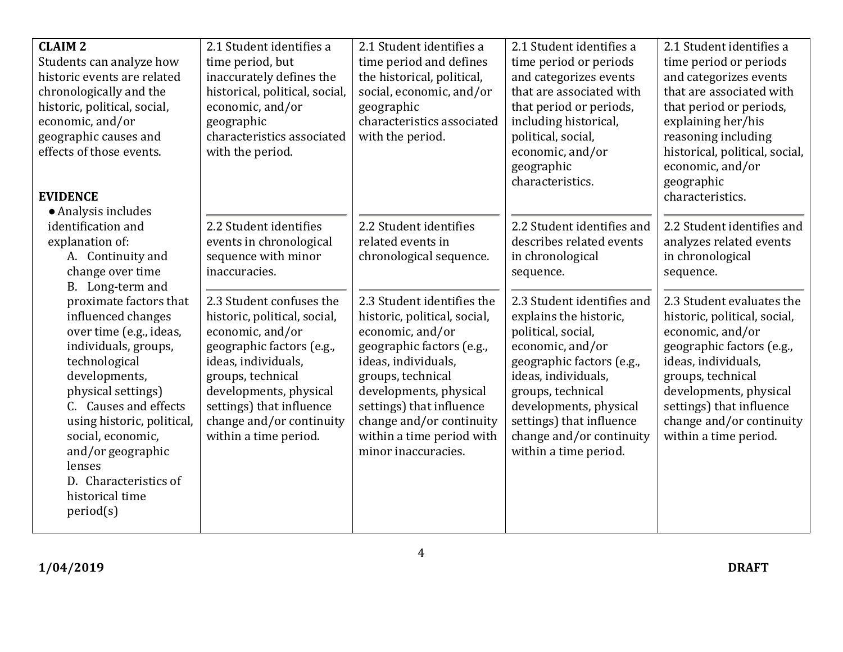| <b>CLAIM 2</b><br>Students can analyze how<br>historic events are related<br>chronologically and the<br>historic, political, social,<br>economic, and/or<br>geographic causes and<br>effects of those events.                                                                                                               | 2.1 Student identifies a<br>time period, but<br>inaccurately defines the<br>historical, political, social,<br>economic, and/or<br>geographic<br>characteristics associated<br>with the period.                                                                   | 2.1 Student identifies a<br>time period and defines<br>the historical, political,<br>social, economic, and/or<br>geographic<br>characteristics associated<br>with the period.                                                                                                                 | 2.1 Student identifies a<br>time period or periods<br>and categorizes events<br>that are associated with<br>that period or periods,<br>including historical,<br>political, social,<br>economic, and/or                                                                             | 2.1 Student identifies a<br>time period or periods<br>and categorizes events<br>that are associated with<br>that period or periods,<br>explaining her/his<br>reasoning including<br>historical, political, social,                                                |
|-----------------------------------------------------------------------------------------------------------------------------------------------------------------------------------------------------------------------------------------------------------------------------------------------------------------------------|------------------------------------------------------------------------------------------------------------------------------------------------------------------------------------------------------------------------------------------------------------------|-----------------------------------------------------------------------------------------------------------------------------------------------------------------------------------------------------------------------------------------------------------------------------------------------|------------------------------------------------------------------------------------------------------------------------------------------------------------------------------------------------------------------------------------------------------------------------------------|-------------------------------------------------------------------------------------------------------------------------------------------------------------------------------------------------------------------------------------------------------------------|
| <b>EVIDENCE</b>                                                                                                                                                                                                                                                                                                             |                                                                                                                                                                                                                                                                  |                                                                                                                                                                                                                                                                                               | geographic<br>characteristics.                                                                                                                                                                                                                                                     | economic, and/or<br>geographic<br>characteristics.                                                                                                                                                                                                                |
| • Analysis includes<br>identification and<br>explanation of:<br>A. Continuity and<br>change over time<br>B. Long-term and                                                                                                                                                                                                   | 2.2 Student identifies<br>events in chronological<br>sequence with minor<br>inaccuracies.                                                                                                                                                                        | 2.2 Student identifies<br>related events in<br>chronological sequence.                                                                                                                                                                                                                        | 2.2 Student identifies and<br>describes related events<br>in chronological<br>sequence.                                                                                                                                                                                            | 2.2 Student identifies and<br>analyzes related events<br>in chronological<br>sequence.                                                                                                                                                                            |
| proximate factors that<br>influenced changes<br>over time (e.g., ideas,<br>individuals, groups,<br>technological<br>developments,<br>physical settings)<br>C. Causes and effects<br>using historic, political,<br>social, economic,<br>and/or geographic<br>lenses<br>D. Characteristics of<br>historical time<br>period(s) | 2.3 Student confuses the<br>historic, political, social,<br>economic, and/or<br>geographic factors (e.g.,<br>ideas, individuals,<br>groups, technical<br>developments, physical<br>settings) that influence<br>change and/or continuity<br>within a time period. | 2.3 Student identifies the<br>historic, political, social,<br>economic, and/or<br>geographic factors (e.g.,<br>ideas, individuals,<br>groups, technical<br>developments, physical<br>settings) that influence<br>change and/or continuity<br>within a time period with<br>minor inaccuracies. | 2.3 Student identifies and<br>explains the historic,<br>political, social,<br>economic, and/or<br>geographic factors (e.g.,<br>ideas, individuals,<br>groups, technical<br>developments, physical<br>settings) that influence<br>change and/or continuity<br>within a time period. | 2.3 Student evaluates the<br>historic, political, social,<br>economic, and/or<br>geographic factors (e.g.,<br>ideas, individuals,<br>groups, technical<br>developments, physical<br>settings) that influence<br>change and/or continuity<br>within a time period. |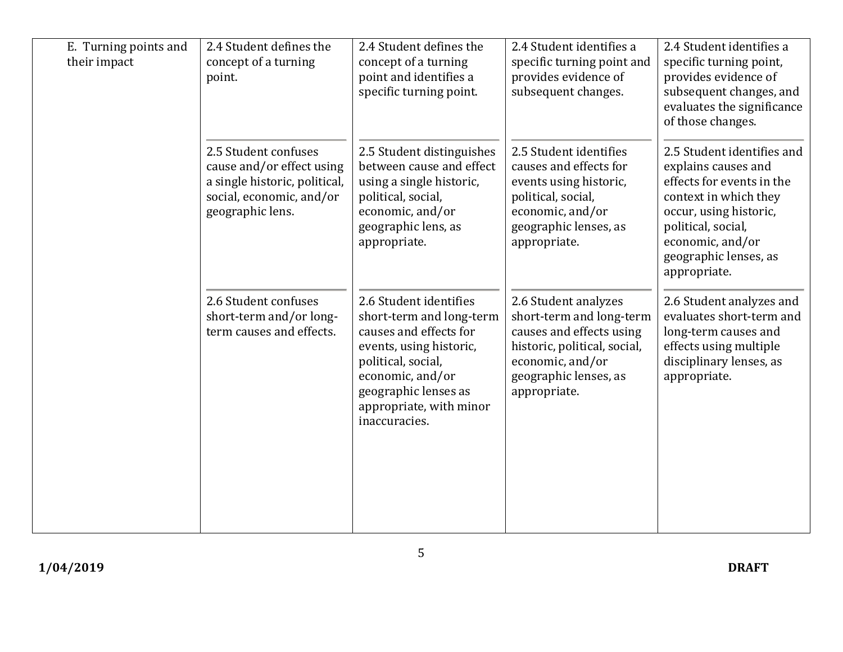| E. Turning points and<br>their impact | 2.4 Student defines the<br>concept of a turning<br>point.                                                                          | 2.4 Student defines the<br>concept of a turning<br>point and identifies a<br>specific turning point.                                                                                                                  | 2.4 Student identifies a<br>specific turning point and<br>provides evidence of<br>subsequent changes.                                                                     | 2.4 Student identifies a<br>specific turning point,<br>provides evidence of<br>subsequent changes, and<br>evaluates the significance<br>of those changes.                                                            |
|---------------------------------------|------------------------------------------------------------------------------------------------------------------------------------|-----------------------------------------------------------------------------------------------------------------------------------------------------------------------------------------------------------------------|---------------------------------------------------------------------------------------------------------------------------------------------------------------------------|----------------------------------------------------------------------------------------------------------------------------------------------------------------------------------------------------------------------|
|                                       | 2.5 Student confuses<br>cause and/or effect using<br>a single historic, political,<br>social, economic, and/or<br>geographic lens. | 2.5 Student distinguishes<br>between cause and effect<br>using a single historic,<br>political, social,<br>economic, and/or<br>geographic lens, as<br>appropriate.                                                    | 2.5 Student identifies<br>causes and effects for<br>events using historic,<br>political, social,<br>economic, and/or<br>geographic lenses, as<br>appropriate.             | 2.5 Student identifies and<br>explains causes and<br>effects for events in the<br>context in which they<br>occur, using historic,<br>political, social,<br>economic, and/or<br>geographic lenses, as<br>appropriate. |
|                                       | 2.6 Student confuses<br>short-term and/or long-<br>term causes and effects.                                                        | 2.6 Student identifies<br>short-term and long-term<br>causes and effects for<br>events, using historic,<br>political, social,<br>economic, and/or<br>geographic lenses as<br>appropriate, with minor<br>inaccuracies. | 2.6 Student analyzes<br>short-term and long-term<br>causes and effects using<br>historic, political, social,<br>economic, and/or<br>geographic lenses, as<br>appropriate. | 2.6 Student analyzes and<br>evaluates short-term and<br>long-term causes and<br>effects using multiple<br>disciplinary lenses, as<br>appropriate.                                                                    |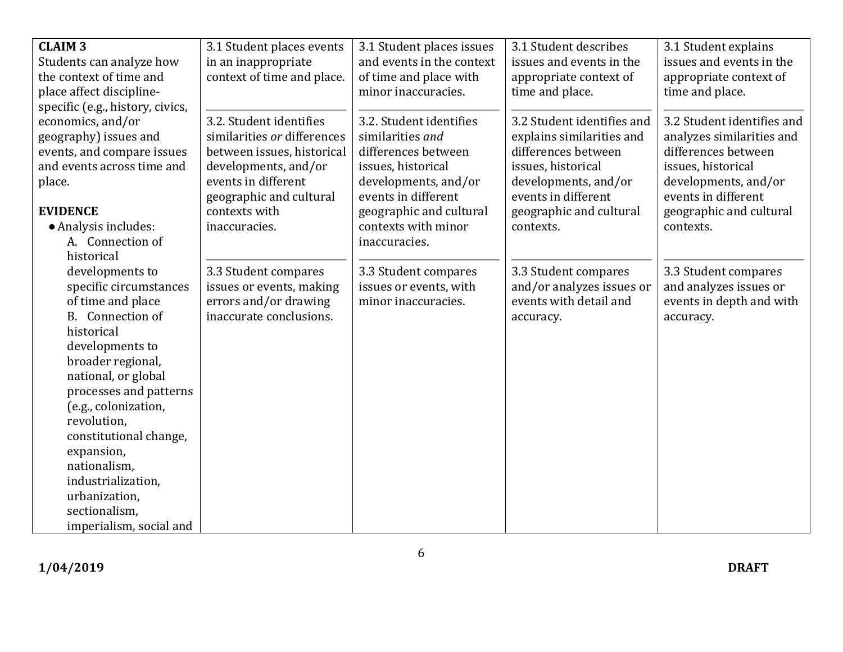| <b>CLAIM 3</b>                   | 3.1 Student places events   | 3.1 Student places issues | 3.1 Student describes      | 3.1 Student explains       |
|----------------------------------|-----------------------------|---------------------------|----------------------------|----------------------------|
| Students can analyze how         | in an inappropriate         | and events in the context | issues and events in the   | issues and events in the   |
| the context of time and          | context of time and place.  | of time and place with    | appropriate context of     | appropriate context of     |
| place affect discipline-         |                             | minor inaccuracies.       | time and place.            | time and place.            |
| specific (e.g., history, civics, |                             |                           |                            |                            |
| economics, and/or                | 3.2. Student identifies     | 3.2. Student identifies   | 3.2 Student identifies and | 3.2 Student identifies and |
| geography) issues and            | similarities or differences | similarities and          | explains similarities and  | analyzes similarities and  |
| events, and compare issues       | between issues, historical  | differences between       | differences between        | differences between        |
| and events across time and       | developments, and/or        | issues, historical        | issues, historical         | issues, historical         |
| place.                           | events in different         | developments, and/or      | developments, and/or       | developments, and/or       |
|                                  | geographic and cultural     | events in different       | events in different        | events in different        |
| <b>EVIDENCE</b>                  | contexts with               | geographic and cultural   | geographic and cultural    | geographic and cultural    |
| • Analysis includes:             | inaccuracies.               | contexts with minor       | contexts.                  | contexts.                  |
| A. Connection of                 |                             | inaccuracies.             |                            |                            |
| historical                       |                             |                           |                            |                            |
| developments to                  | 3.3 Student compares        | 3.3 Student compares      | 3.3 Student compares       | 3.3 Student compares       |
| specific circumstances           | issues or events, making    | issues or events, with    | and/or analyzes issues or  | and analyzes issues or     |
| of time and place                | errors and/or drawing       | minor inaccuracies.       | events with detail and     | events in depth and with   |
| Connection of<br>B <sub>1</sub>  | inaccurate conclusions.     |                           | accuracy.                  | accuracy.                  |
| historical                       |                             |                           |                            |                            |
| developments to                  |                             |                           |                            |                            |
| broader regional,                |                             |                           |                            |                            |
| national, or global              |                             |                           |                            |                            |
| processes and patterns           |                             |                           |                            |                            |
| (e.g., colonization,             |                             |                           |                            |                            |
| revolution,                      |                             |                           |                            |                            |
| constitutional change,           |                             |                           |                            |                            |
| expansion,                       |                             |                           |                            |                            |
| nationalism,                     |                             |                           |                            |                            |
| industrialization,               |                             |                           |                            |                            |
| urbanization,                    |                             |                           |                            |                            |
| sectionalism,                    |                             |                           |                            |                            |
| imperialism, social and          |                             |                           |                            |                            |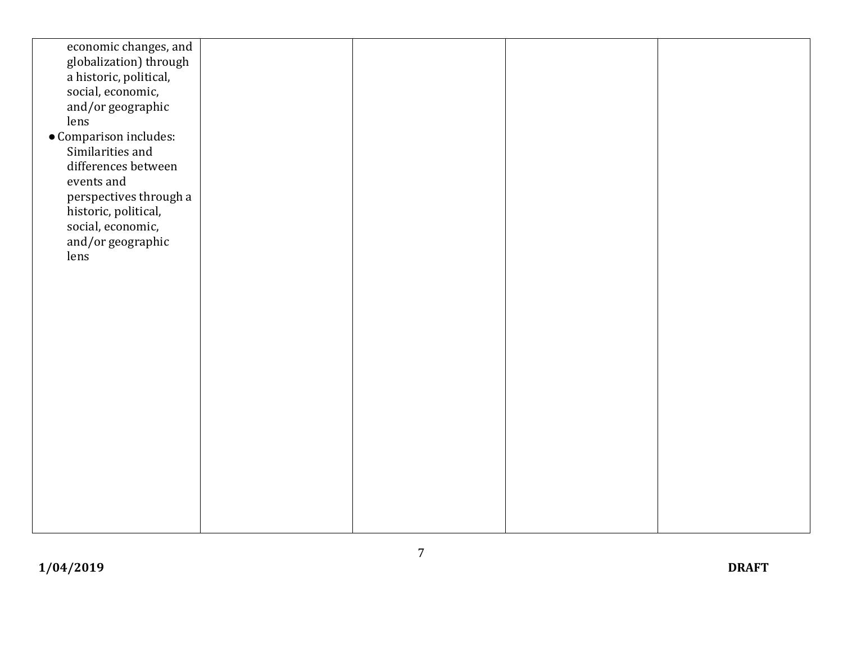| economic changes, and                          |  |  |
|------------------------------------------------|--|--|
| globalization) through                         |  |  |
| a historic, political,                         |  |  |
| social, economic,                              |  |  |
| and/or geographic                              |  |  |
| lens                                           |  |  |
| • Comparison includes:                         |  |  |
| Similarities and                               |  |  |
| differences between                            |  |  |
| events and                                     |  |  |
| perspectives through a<br>historic, political, |  |  |
| social, economic,                              |  |  |
| and/or geographic                              |  |  |
| lens                                           |  |  |
|                                                |  |  |
|                                                |  |  |
|                                                |  |  |
|                                                |  |  |
|                                                |  |  |
|                                                |  |  |
|                                                |  |  |
|                                                |  |  |
|                                                |  |  |
|                                                |  |  |
|                                                |  |  |
|                                                |  |  |
|                                                |  |  |
|                                                |  |  |
|                                                |  |  |
|                                                |  |  |
|                                                |  |  |
|                                                |  |  |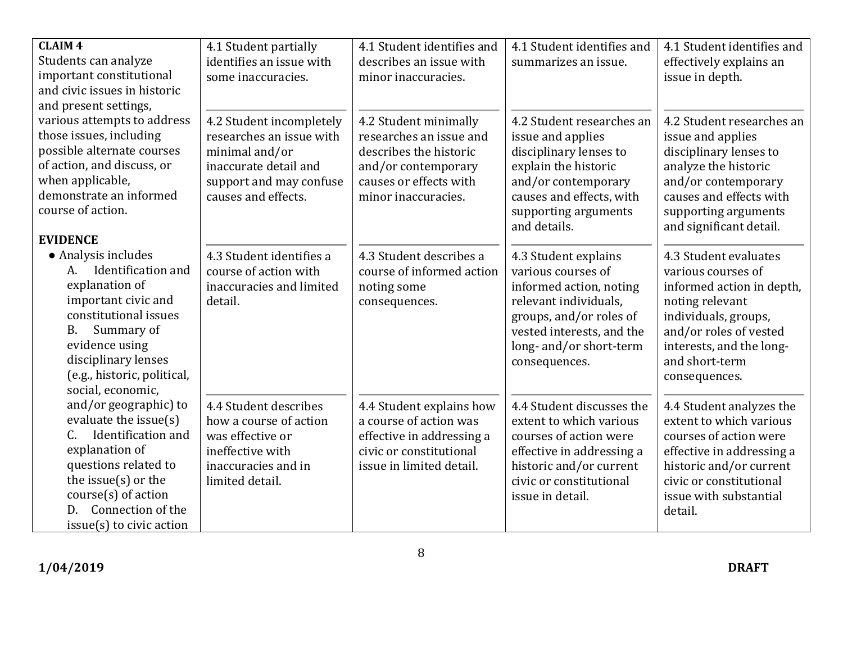| <b>CLAIM 4</b><br>Students can analyze<br>important constitutional<br>and civic issues in historic                                                                                                                                 | 4.1 Student partially<br>identifies an issue with<br>some inaccuracies.                                                                           | 4.1 Student identifies and<br>describes an issue with<br>minor inaccuracies.                                                                       | 4.1 Student identifies and<br>summarizes an issue.                                                                                                                                                 | 4.1 Student identifies and<br>effectively explains an<br>issue in depth.                                                                                                                                     |
|------------------------------------------------------------------------------------------------------------------------------------------------------------------------------------------------------------------------------------|---------------------------------------------------------------------------------------------------------------------------------------------------|----------------------------------------------------------------------------------------------------------------------------------------------------|----------------------------------------------------------------------------------------------------------------------------------------------------------------------------------------------------|--------------------------------------------------------------------------------------------------------------------------------------------------------------------------------------------------------------|
| and present settings,<br>various attempts to address<br>those issues, including<br>possible alternate courses<br>of action, and discuss, or<br>when applicable,<br>demonstrate an informed<br>course of action.<br><b>EVIDENCE</b> | 4.2 Student incompletely<br>researches an issue with<br>minimal and/or<br>inaccurate detail and<br>support and may confuse<br>causes and effects. | 4.2 Student minimally<br>researches an issue and<br>describes the historic<br>and/or contemporary<br>causes or effects with<br>minor inaccuracies. | 4.2 Student researches an<br>issue and applies<br>disciplinary lenses to<br>explain the historic<br>and/or contemporary<br>causes and effects, with<br>supporting arguments<br>and details.        | 4.2 Student researches an<br>issue and applies<br>disciplinary lenses to<br>analyze the historic<br>and/or contemporary<br>causes and effects with<br>supporting arguments<br>and significant detail.        |
| • Analysis includes<br>A. Identification and<br>explanation of<br>important civic and<br>constitutional issues<br>Summary of<br>Β.<br>evidence using<br>disciplinary lenses<br>(e.g., historic, political,<br>social, economic,    | 4.3 Student identifies a<br>course of action with<br>inaccuracies and limited<br>detail.                                                          | 4.3 Student describes a<br>course of informed action<br>noting some<br>consequences.                                                               | 4.3 Student explains<br>various courses of<br>informed action, noting<br>relevant individuals,<br>groups, and/or roles of<br>vested interests, and the<br>long- and/or short-term<br>consequences. | 4.3 Student evaluates<br>various courses of<br>informed action in depth,<br>noting relevant<br>individuals, groups,<br>and/or roles of vested<br>interests, and the long-<br>and short-term<br>consequences. |
| and/or geographic) to<br>evaluate the issue(s)<br>Identification and<br>C.<br>explanation of<br>questions related to<br>the issue $(s)$ or the<br>$course(s)$ of action<br>Connection of the<br>D.<br>$issue(s)$ to civic action   | 4.4 Student describes<br>how a course of action<br>was effective or<br>ineffective with<br>inaccuracies and in<br>limited detail.                 | 4.4 Student explains how<br>a course of action was<br>effective in addressing a<br>civic or constitutional<br>issue in limited detail.             | 4.4 Student discusses the<br>extent to which various<br>courses of action were<br>effective in addressing a<br>historic and/or current<br>civic or constitutional<br>issue in detail.              | 4.4 Student analyzes the<br>extent to which various<br>courses of action were<br>effective in addressing a<br>historic and/or current<br>civic or constitutional<br>issue with substantial<br>detail.        |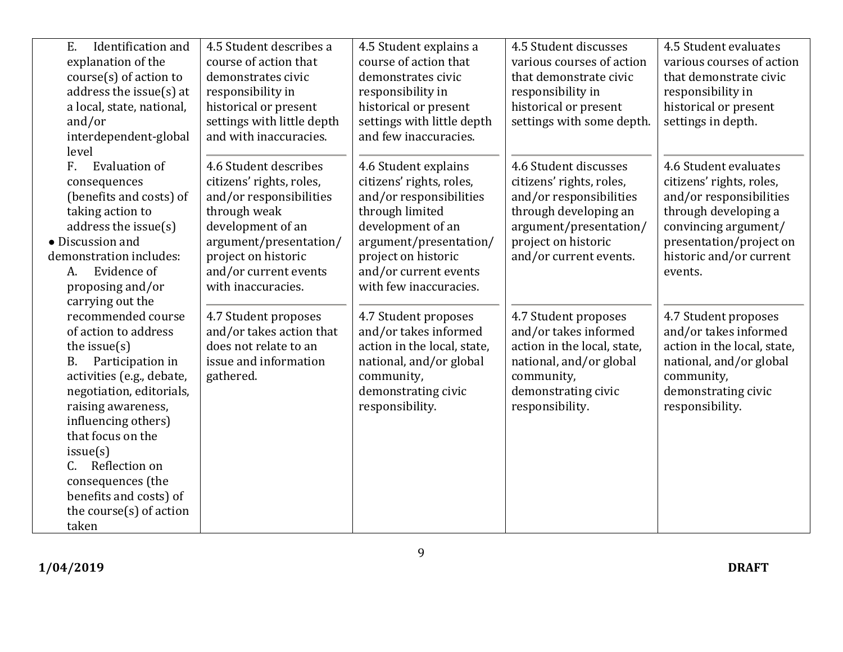| Identification and<br>E.<br>explanation of the<br>$course(s)$ of action to<br>address the issue $(s)$ at<br>a local, state, national,<br>and/or                                                                                                           | 4.5 Student describes a<br>course of action that<br>demonstrates civic<br>responsibility in<br>historical or present<br>settings with little depth                                                                                          | 4.5 Student explains a<br>course of action that<br>demonstrates civic<br>responsibility in<br>historical or present<br>settings with little depth                                                                                                | 4.5 Student discusses<br>various courses of action<br>that demonstrate civic<br>responsibility in<br>historical or present<br>settings with some depth.                          | 4.5 Student evaluates<br>various courses of action<br>that demonstrate civic<br>responsibility in<br>historical or present<br>settings in depth.                                              |
|-----------------------------------------------------------------------------------------------------------------------------------------------------------------------------------------------------------------------------------------------------------|---------------------------------------------------------------------------------------------------------------------------------------------------------------------------------------------------------------------------------------------|--------------------------------------------------------------------------------------------------------------------------------------------------------------------------------------------------------------------------------------------------|----------------------------------------------------------------------------------------------------------------------------------------------------------------------------------|-----------------------------------------------------------------------------------------------------------------------------------------------------------------------------------------------|
| interdependent-global<br>level<br><b>Evaluation of</b><br>$F_{\rm{r}}$<br>consequences<br>(benefits and costs) of<br>taking action to<br>address the issue $(s)$<br>• Discussion and<br>demonstration includes:<br>Evidence of<br>A.<br>proposing and/or  | and with inaccuracies.<br>4.6 Student describes<br>citizens' rights, roles,<br>and/or responsibilities<br>through weak<br>development of an<br>argument/presentation/<br>project on historic<br>and/or current events<br>with inaccuracies. | and few inaccuracies.<br>4.6 Student explains<br>citizens' rights, roles,<br>and/or responsibilities<br>through limited<br>development of an<br>argument/presentation/<br>project on historic<br>and/or current events<br>with few inaccuracies. | 4.6 Student discusses<br>citizens' rights, roles,<br>and/or responsibilities<br>through developing an<br>argument/presentation/<br>project on historic<br>and/or current events. | 4.6 Student evaluates<br>citizens' rights, roles,<br>and/or responsibilities<br>through developing a<br>convincing argument/<br>presentation/project on<br>historic and/or current<br>events. |
| carrying out the<br>recommended course<br>of action to address<br>the issue $(s)$<br>Participation in<br><b>B.</b><br>activities (e.g., debate,<br>negotiation, editorials,<br>raising awareness,<br>influencing others)<br>that focus on the<br>issue(s) | 4.7 Student proposes<br>and/or takes action that<br>does not relate to an<br>issue and information<br>gathered.                                                                                                                             | 4.7 Student proposes<br>and/or takes informed<br>action in the local, state,<br>national, and/or global<br>community,<br>demonstrating civic<br>responsibility.                                                                                  | 4.7 Student proposes<br>and/or takes informed<br>action in the local, state,<br>national, and/or global<br>community,<br>demonstrating civic<br>responsibility.                  | 4.7 Student proposes<br>and/or takes informed<br>action in the local, state,<br>national, and/or global<br>community,<br>demonstrating civic<br>responsibility.                               |
| Reflection on<br>C.<br>consequences (the<br>benefits and costs) of<br>the course(s) of action<br>taken                                                                                                                                                    |                                                                                                                                                                                                                                             |                                                                                                                                                                                                                                                  |                                                                                                                                                                                  |                                                                                                                                                                                               |